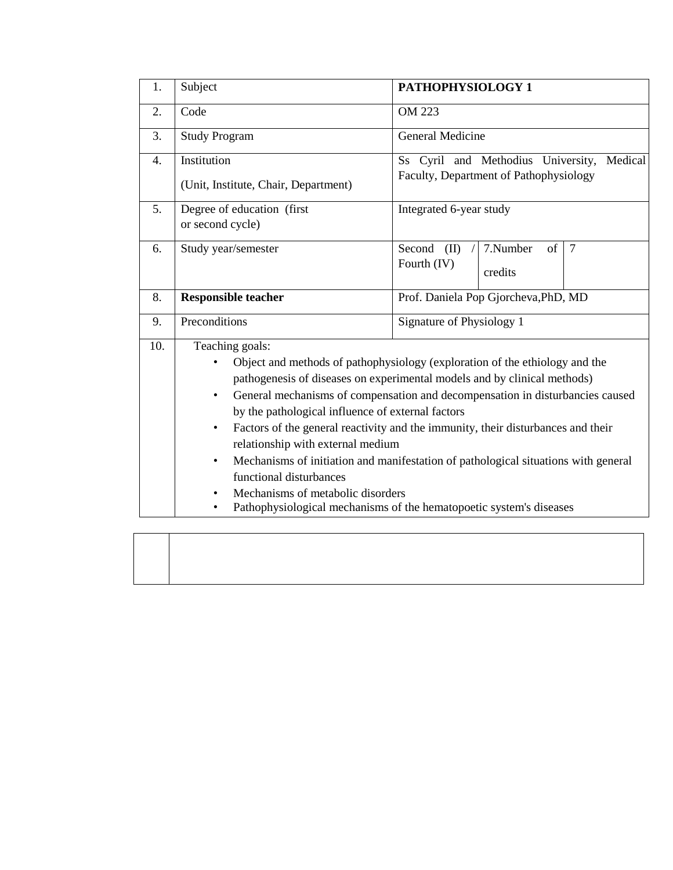| 1.  | Subject                                                                                                                                                                                                                                                                                                                                                                                                                                                                                                                                                                                                                                                                                                                         | PATHOPHYSIOLOGY 1                                                                       |  |  |  |  |  |
|-----|---------------------------------------------------------------------------------------------------------------------------------------------------------------------------------------------------------------------------------------------------------------------------------------------------------------------------------------------------------------------------------------------------------------------------------------------------------------------------------------------------------------------------------------------------------------------------------------------------------------------------------------------------------------------------------------------------------------------------------|-----------------------------------------------------------------------------------------|--|--|--|--|--|
| 2.  | Code                                                                                                                                                                                                                                                                                                                                                                                                                                                                                                                                                                                                                                                                                                                            | OM 223                                                                                  |  |  |  |  |  |
| 3.  | <b>Study Program</b>                                                                                                                                                                                                                                                                                                                                                                                                                                                                                                                                                                                                                                                                                                            | General Medicine                                                                        |  |  |  |  |  |
| 4.  | Institution<br>(Unit, Institute, Chair, Department)                                                                                                                                                                                                                                                                                                                                                                                                                                                                                                                                                                                                                                                                             | Ss Cyril and Methodius University,<br>Medical<br>Faculty, Department of Pathophysiology |  |  |  |  |  |
| 5.  | Degree of education (first<br>or second cycle)                                                                                                                                                                                                                                                                                                                                                                                                                                                                                                                                                                                                                                                                                  | Integrated 6-year study                                                                 |  |  |  |  |  |
| 6.  | Study year/semester                                                                                                                                                                                                                                                                                                                                                                                                                                                                                                                                                                                                                                                                                                             | 7.Number<br>of<br>Second<br>(II)<br>$\overline{7}$<br>Fourth (IV)<br>credits            |  |  |  |  |  |
| 8.  | Prof. Daniela Pop Gjorcheva, PhD, MD<br><b>Responsible teacher</b>                                                                                                                                                                                                                                                                                                                                                                                                                                                                                                                                                                                                                                                              |                                                                                         |  |  |  |  |  |
| 9.  | Preconditions                                                                                                                                                                                                                                                                                                                                                                                                                                                                                                                                                                                                                                                                                                                   | Signature of Physiology 1                                                               |  |  |  |  |  |
| 10. | Teaching goals:<br>Object and methods of pathophysiology (exploration of the ethiology and the<br>$\bullet$<br>pathogenesis of diseases on experimental models and by clinical methods)<br>General mechanisms of compensation and decompensation in disturbancies caused<br>$\bullet$<br>by the pathological influence of external factors<br>Factors of the general reactivity and the immunity, their disturbances and their<br>$\bullet$<br>relationship with external medium<br>Mechanisms of initiation and manifestation of pathological situations with general<br>٠<br>functional disturbances<br>Mechanisms of metabolic disorders<br>$\bullet$<br>Pathophysiological mechanisms of the hematopoetic system's diseases |                                                                                         |  |  |  |  |  |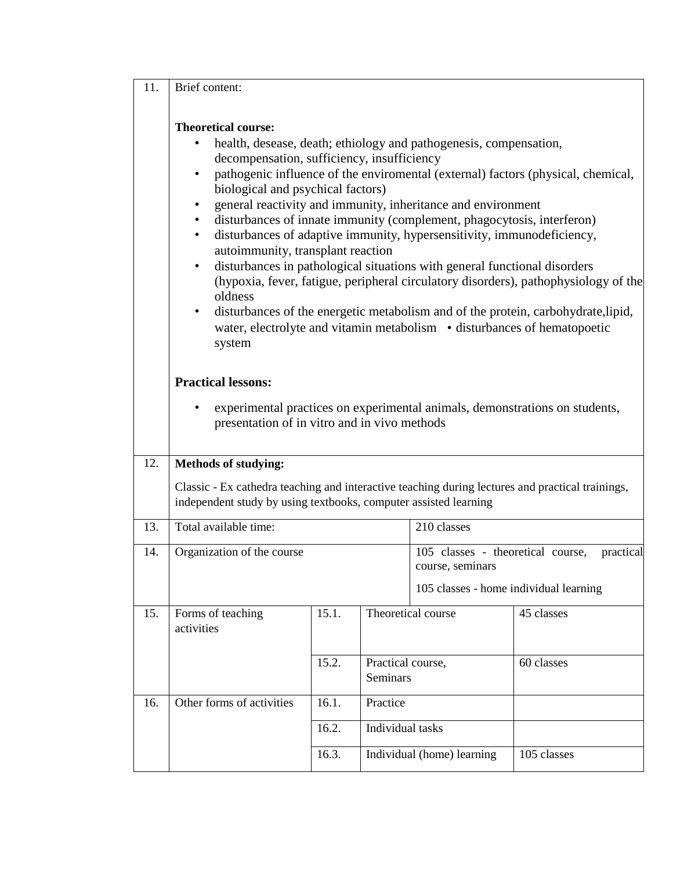| Brief content:<br>11. |
|-----------------------|
|-----------------------|

## **Theoretical course:**

- health, desease, death; ethiology and pathogenesis, compensation, decompensation, sufficiency, insufficiency
- pathogenic influence of the enviromental (external) factors (physical, chemical, biological and psychical factors)
- general reactivity and immunity, inheritance and environment
- disturbances of innate immunity (complement, phagocytosis, interferon)
- disturbances of adaptive immunity, hypersensitivity, immunodeficiency, autoimmunity, transplant reaction
- disturbances in pathological situations with general functional disorders (hypoxia, fever, fatigue, peripheral circulatory disorders), pathophysiology of the oldness
- disturbances of the energetic metabolism and of the protein, carbohydrate,lipid, water, electrolyte and vitamin metabolism • disturbances of hematopoetic system

## **Practical lessons:**

• experimental practices on experimental animals, demonstrations on students, presentation of in vitro and in vivo methods

## 12. **Methods of studying:**

Classic - Ex cathedra teaching and interactive teaching during lectures and practical trainings, independent study by using textbooks, computer assisted learning

| 13. | Total available time:      |       |                   |                                                |             |  |
|-----|----------------------------|-------|-------------------|------------------------------------------------|-------------|--|
|     |                            |       |                   | 210 classes                                    |             |  |
| 14. | Organization of the course |       |                   | 105 classes - theoretical course,<br>practical |             |  |
|     |                            |       |                   | course, seminars                               |             |  |
|     |                            |       |                   | 105 classes - home individual learning         |             |  |
|     |                            |       |                   |                                                |             |  |
| 15. | Forms of teaching          | 15.1. |                   | Theoretical course                             | 45 classes  |  |
|     | activities                 |       |                   |                                                |             |  |
|     |                            |       |                   |                                                |             |  |
|     |                            | 15.2. | Practical course, |                                                | 60 classes  |  |
|     |                            |       | <b>Seminars</b>   |                                                |             |  |
|     |                            |       |                   |                                                |             |  |
| 16. | Other forms of activities  | 16.1. | Practice          |                                                |             |  |
|     |                            |       |                   |                                                |             |  |
|     |                            | 16.2. | Individual tasks  |                                                |             |  |
|     |                            | 16.3. |                   | Individual (home) learning                     | 105 classes |  |
|     |                            |       |                   |                                                |             |  |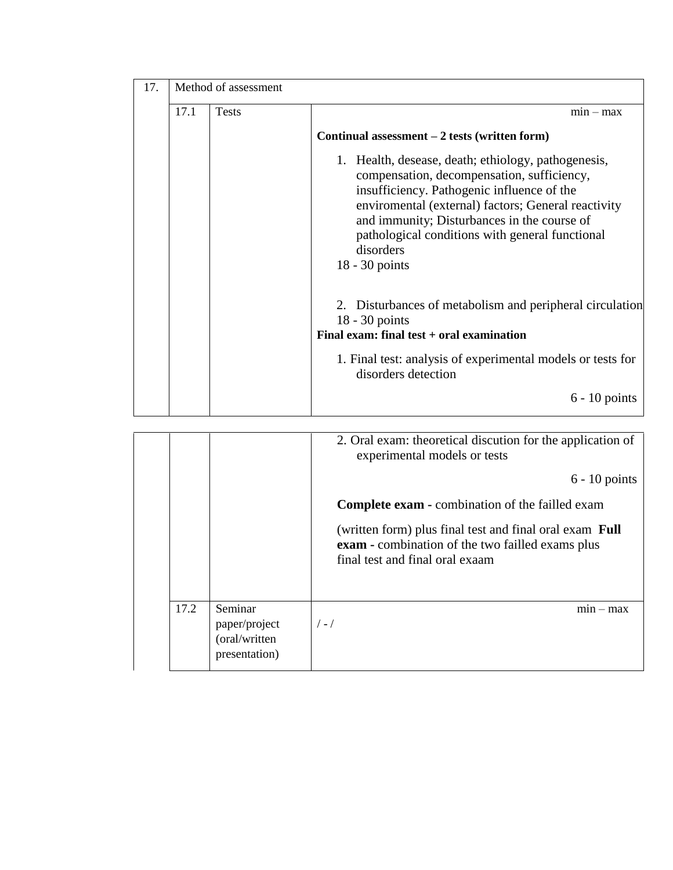| 17. | Method of assessment |              |                                                                                                                                                                                                                                                                                                                                              |  |  |  |  |
|-----|----------------------|--------------|----------------------------------------------------------------------------------------------------------------------------------------------------------------------------------------------------------------------------------------------------------------------------------------------------------------------------------------------|--|--|--|--|
|     | 17.1                 | <b>Tests</b> | $min - max$                                                                                                                                                                                                                                                                                                                                  |  |  |  |  |
|     |                      |              | Continual assessment $-2$ tests (written form)                                                                                                                                                                                                                                                                                               |  |  |  |  |
|     |                      |              | Health, desease, death; ethiology, pathogenesis,<br>1.<br>compensation, decompensation, sufficiency,<br>insufficiency. Pathogenic influence of the<br>enviromental (external) factors; General reactivity<br>and immunity; Disturbances in the course of<br>pathological conditions with general functional<br>disorders<br>$18 - 30$ points |  |  |  |  |
|     |                      |              | Disturbances of metabolism and peripheral circulation<br>2.<br>$18 - 30$ points<br>Final exam: final test + oral examination                                                                                                                                                                                                                 |  |  |  |  |
|     |                      |              | 1. Final test: analysis of experimental models or tests for<br>disorders detection                                                                                                                                                                                                                                                           |  |  |  |  |
|     |                      |              | $6 - 10$ points                                                                                                                                                                                                                                                                                                                              |  |  |  |  |

|      |                                                            | 2. Oral exam: theoretical discution for the application of<br>experimental models or tests                                                            |
|------|------------------------------------------------------------|-------------------------------------------------------------------------------------------------------------------------------------------------------|
|      |                                                            | $6 - 10$ points                                                                                                                                       |
|      |                                                            | <b>Complete exam - combination of the failled exam</b>                                                                                                |
|      |                                                            | (written form) plus final test and final oral exam <b>Full</b><br>exam - combination of the two failled exams plus<br>final test and final oral exaam |
| 17.2 | Seminar<br>paper/project<br>(oral/written<br>presentation) | $mn - max$<br>$/ - /$                                                                                                                                 |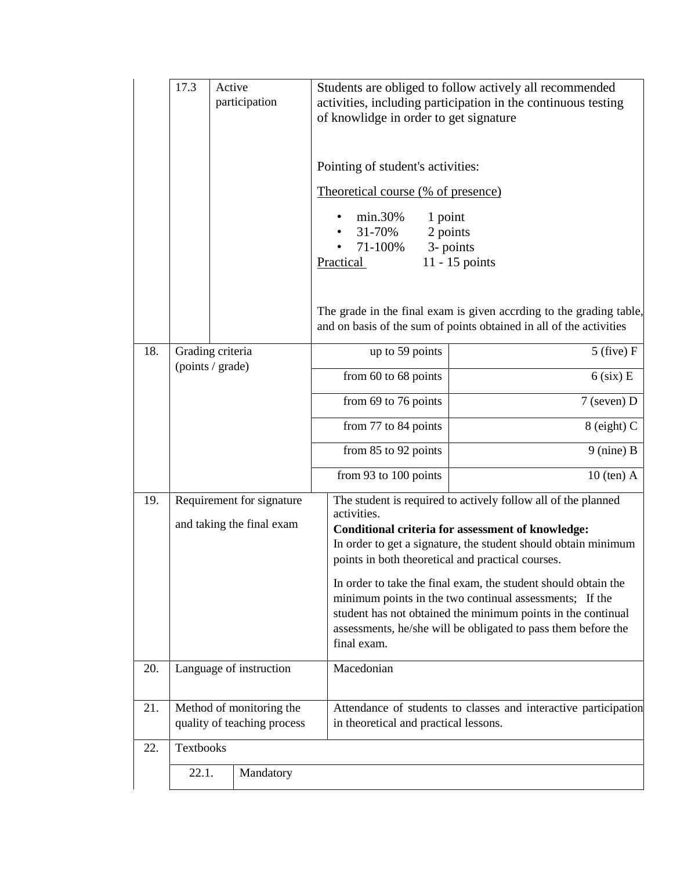|     | 17.3<br>Active<br>Students are obliged to follow actively all recommended<br>activities, including participation in the continuous testing<br>participation<br>of knowlidge in order to get signature |  |                                                         |                                                                                                                                                                                                                                                                                                                                   |                                                                                                                                            |  |  |  |
|-----|-------------------------------------------------------------------------------------------------------------------------------------------------------------------------------------------------------|--|---------------------------------------------------------|-----------------------------------------------------------------------------------------------------------------------------------------------------------------------------------------------------------------------------------------------------------------------------------------------------------------------------------|--------------------------------------------------------------------------------------------------------------------------------------------|--|--|--|
|     |                                                                                                                                                                                                       |  |                                                         | Pointing of student's activities:                                                                                                                                                                                                                                                                                                 |                                                                                                                                            |  |  |  |
|     |                                                                                                                                                                                                       |  |                                                         |                                                                                                                                                                                                                                                                                                                                   | Theoretical course (% of presence)                                                                                                         |  |  |  |
|     |                                                                                                                                                                                                       |  |                                                         | min.30%<br>1 point<br>31-70%<br>71-100%<br>$\bullet$<br>Practical                                                                                                                                                                                                                                                                 | 2 points<br>3- points<br>$11 - 15$ points                                                                                                  |  |  |  |
|     |                                                                                                                                                                                                       |  |                                                         |                                                                                                                                                                                                                                                                                                                                   | The grade in the final exam is given accrding to the grading table,<br>and on basis of the sum of points obtained in all of the activities |  |  |  |
| 18. | Grading criteria<br>(points / grade)                                                                                                                                                                  |  |                                                         | up to 59 points                                                                                                                                                                                                                                                                                                                   | $5$ (five) $F$                                                                                                                             |  |  |  |
|     |                                                                                                                                                                                                       |  |                                                         | from 60 to 68 points                                                                                                                                                                                                                                                                                                              | $6$ (six) E                                                                                                                                |  |  |  |
|     |                                                                                                                                                                                                       |  |                                                         | from 69 to 76 points                                                                                                                                                                                                                                                                                                              | $7$ (seven) D                                                                                                                              |  |  |  |
|     |                                                                                                                                                                                                       |  |                                                         | from 77 to 84 points                                                                                                                                                                                                                                                                                                              | 8 (eight) C                                                                                                                                |  |  |  |
|     |                                                                                                                                                                                                       |  |                                                         | from 85 to 92 points                                                                                                                                                                                                                                                                                                              | $9$ (nine) B                                                                                                                               |  |  |  |
|     |                                                                                                                                                                                                       |  |                                                         | from 93 to 100 points                                                                                                                                                                                                                                                                                                             | $10$ (ten) A                                                                                                                               |  |  |  |
| 19. | Requirement for signature<br>and taking the final exam                                                                                                                                                |  |                                                         | The student is required to actively follow all of the planned<br>activities.<br><b>Conditional criteria for assessment of knowledge:</b><br>In order to get a signature, the student should obtain minimum<br>points in both theoretical and practical courses.<br>In order to take the final exam, the student should obtain the |                                                                                                                                            |  |  |  |
|     |                                                                                                                                                                                                       |  |                                                         | minimum points in the two continual assessments; If the<br>student has not obtained the minimum points in the continual<br>assessments, he/she will be obligated to pass them before the<br>final exam.                                                                                                                           |                                                                                                                                            |  |  |  |
| 20. |                                                                                                                                                                                                       |  | Language of instruction                                 | Macedonian                                                                                                                                                                                                                                                                                                                        |                                                                                                                                            |  |  |  |
| 21. |                                                                                                                                                                                                       |  | Method of monitoring the<br>quality of teaching process | in theoretical and practical lessons.                                                                                                                                                                                                                                                                                             | Attendance of students to classes and interactive participation                                                                            |  |  |  |
| 22. | Textbooks                                                                                                                                                                                             |  |                                                         |                                                                                                                                                                                                                                                                                                                                   |                                                                                                                                            |  |  |  |
|     | 22.1.                                                                                                                                                                                                 |  | Mandatory                                               |                                                                                                                                                                                                                                                                                                                                   |                                                                                                                                            |  |  |  |